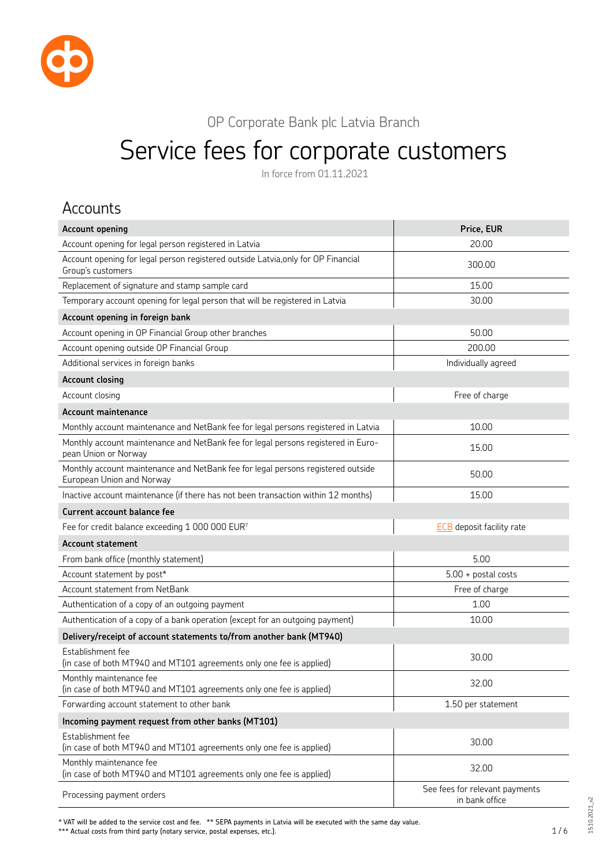

OP Corporate Bank plc Latvia Branch

# Service fees for corporate customers

In force from 01.11.2021

#### Accounts

| <b>Account opening</b>                                                                                        | Price, EUR                                       |
|---------------------------------------------------------------------------------------------------------------|--------------------------------------------------|
| Account opening for legal person registered in Latvia                                                         | 20.00                                            |
| Account opening for legal person registered outside Latvia, only for OP Financial<br>Group's customers        | 300.00                                           |
| Replacement of signature and stamp sample card                                                                | 15.00                                            |
| Temporary account opening for legal person that will be registered in Latvia                                  | 30.00                                            |
| Account opening in foreign bank                                                                               |                                                  |
| Account opening in OP Financial Group other branches                                                          | 50.00                                            |
| Account opening outside OP Financial Group                                                                    | 200.00                                           |
| Additional services in foreign banks                                                                          | Individually agreed                              |
| <b>Account closing</b>                                                                                        |                                                  |
| Account closing                                                                                               | Free of charge                                   |
| <b>Account maintenance</b>                                                                                    |                                                  |
| Monthly account maintenance and NetBank fee for legal persons registered in Latvia                            | 10.00                                            |
| Monthly account maintenance and NetBank fee for legal persons registered in Euro-<br>pean Union or Norway     | 15.00                                            |
| Monthly account maintenance and NetBank fee for legal persons registered outside<br>European Union and Norway | 50.00                                            |
| Inactive account maintenance (if there has not been transaction within 12 months)                             | 15.00                                            |
| <b>Current account balance fee</b>                                                                            |                                                  |
| Fee for credit balance exceeding 1 000 000 EUR7                                                               | <b>ECB</b> deposit facility rate                 |
| Account statement                                                                                             |                                                  |
| From bank office (monthly statement)                                                                          | 5.00                                             |
| Account statement by post*                                                                                    | $5.00 +$ postal costs                            |
| <b>Account statement from NetBank</b>                                                                         | Free of charge                                   |
| Authentication of a copy of an outgoing payment                                                               | 1.00                                             |
| Authentication of a copy of a bank operation (except for an outgoing payment)                                 | 10.00                                            |
| Delivery/receipt of account statements to/from another bank (MT940)                                           |                                                  |
| Establishment fee<br>(in case of both MT940 and MT101 agreements only one fee is applied)                     | 30.00                                            |
| Monthly maintenance fee<br>(in case of both MT940 and MT101 agreements only one fee is applied)               | 32.00                                            |
| Forwarding account statement to other bank                                                                    | 1.50 per statement                               |
| Incoming payment request from other banks (MT101)                                                             |                                                  |
| Establishment fee<br>(in case of both MT940 and MT101 agreements only one fee is applied)                     | 30.00                                            |
| Monthly maintenance fee<br>(in case of both MT940 and MT101 agreements only one fee is applied)               | 32.00                                            |
| Processing payment orders                                                                                     | See fees for relevant payments<br>in bank office |

\* VAT will be added to the service cost and fee. \*\* SEPA payments in Latvia will be executed with the same day value.

\*\*\* Actual costs from third party (notary service, postal expenses, etc.).

15.10.2021\_v2

 $15.10.2021 - v2$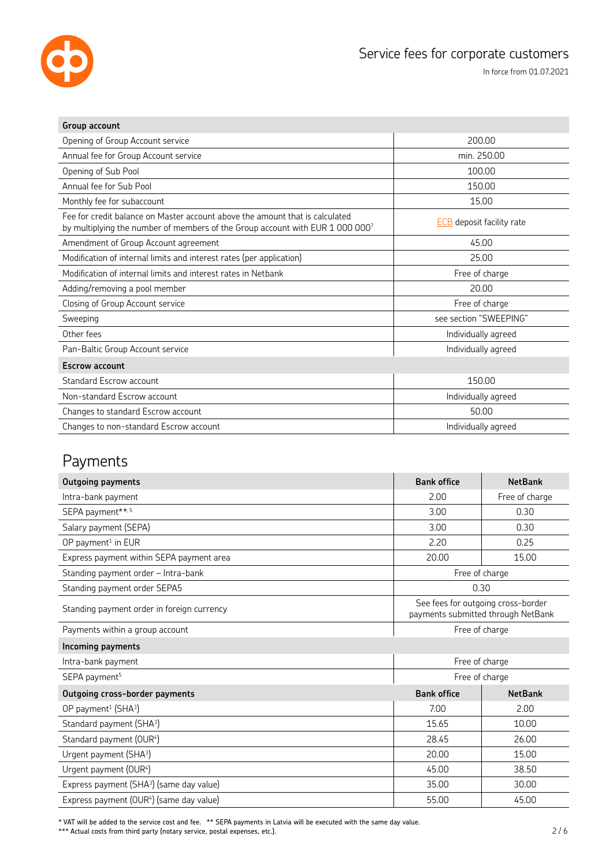

| Group account                                                                                                                                                 |                                  |
|---------------------------------------------------------------------------------------------------------------------------------------------------------------|----------------------------------|
| Opening of Group Account service                                                                                                                              | 200.00                           |
| Annual fee for Group Account service                                                                                                                          | min. 250.00                      |
| Opening of Sub Pool                                                                                                                                           | 100.00                           |
| Annual fee for Sub Pool                                                                                                                                       | 150.00                           |
| Monthly fee for subaccount                                                                                                                                    | 15.00                            |
| Fee for credit balance on Master account above the amount that is calculated<br>by multiplying the number of members of the Group account with EUR 1 000 0007 | <b>ECB</b> deposit facility rate |
| Amendment of Group Account agreement                                                                                                                          | 45.00                            |
| Modification of internal limits and interest rates (per application)                                                                                          | 25.00                            |
| Modification of internal limits and interest rates in Netbank                                                                                                 | Free of charge                   |
| Adding/removing a pool member                                                                                                                                 | 20.00                            |
| Closing of Group Account service                                                                                                                              | Free of charge                   |
| Sweeping                                                                                                                                                      | see section "SWEEPING"           |
| Other fees                                                                                                                                                    | Individually agreed              |
| Pan-Baltic Group Account service                                                                                                                              | Individually agreed              |
| <b>Escrow account</b>                                                                                                                                         |                                  |
| <b>Standard Escrow account</b>                                                                                                                                | 150.00                           |
| Non-standard Escrow account                                                                                                                                   | Individually agreed              |
| Changes to standard Escrow account                                                                                                                            | 50.00                            |
| Changes to non-standard Escrow account                                                                                                                        | Individually agreed              |

# Payments

| <b>Outgoing payments</b>                             | <b>Bank office</b> | <b>NetBank</b>                                                           |
|------------------------------------------------------|--------------------|--------------------------------------------------------------------------|
| Intra-bank payment                                   | 2.00               | Free of charge                                                           |
| SEPA payment**, 5                                    | 3.00               | 0.30                                                                     |
| Salary payment (SEPA)                                | 3.00               | 0.30                                                                     |
| OP payment <sup>1</sup> in EUR                       | 2.20               | 0.25                                                                     |
| Express payment within SEPA payment area             | 20.00              | 15.00                                                                    |
| Standing payment order - Intra-bank                  |                    | Free of charge                                                           |
| Standing payment order SEPA5                         | 0.30               |                                                                          |
| Standing payment order in foreign currency           |                    | See fees for outgoing cross-border<br>payments submitted through NetBank |
| Payments within a group account                      | Free of charge     |                                                                          |
| Incoming payments                                    |                    |                                                                          |
| Intra-bank payment                                   | Free of charge     |                                                                          |
| SEPA payment <sup>5</sup>                            | Free of charge     |                                                                          |
| Outgoing cross-border payments                       | <b>Bank office</b> | <b>NetBank</b>                                                           |
| OP payment <sup>1</sup> (SHA <sup>3</sup> )          | 7.00               | 2.00                                                                     |
| Standard payment (SHA <sup>3</sup> )                 | 15.65              | 10.00                                                                    |
| Standard payment (OUR4)                              | 28.45              | 26.00                                                                    |
| Urgent payment (SHA <sup>3</sup> )                   | 20.00              | 15.00                                                                    |
| Urgent payment (OUR4)                                | 45.00              | 38.50                                                                    |
| Express payment (SHA <sup>3</sup> ) (same day value) | 35.00              | 30.00                                                                    |
| Express payment (OUR <sup>4</sup> ) (same day value) | 55.00              | 45.00                                                                    |

\* VAT will be added to the service cost and fee. \*\* SEPA payments in Latvia will be executed with the same day value.

\*\*\* Actual costs from third party (notary service, postal expenses, etc.).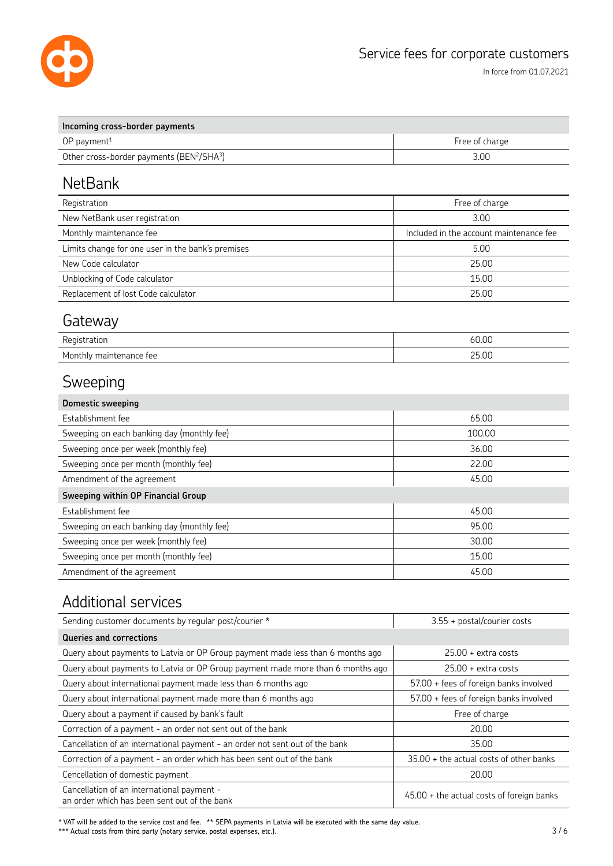

| Incoming cross-border payments                                    |                |
|-------------------------------------------------------------------|----------------|
| $OP$ payment <sup>1</sup>                                         | Free of charge |
| Other cross-border payments (BEN <sup>2</sup> /SHA <sup>3</sup> ) | 3.00           |

### **NetBank**

| Registration                                      | Free of charge                          |
|---------------------------------------------------|-----------------------------------------|
| New NetBank user registration                     | 3.00                                    |
| Monthly maintenance fee                           | Included in the account maintenance fee |
| Limits change for one user in the bank's premises | 5.00                                    |
| New Code calculator                               | 25.00                                   |
| Unblocking of Code calculator                     | 15.00                                   |
| Replacement of lost Code calculator               | 25.00                                   |

### **Gateway**

| -<br>Registration               | 60.00 |
|---------------------------------|-------|
| Monthly<br>nance fee<br>mainter | 25.00 |

# Sweeping

| <b>Domestic sweeping</b>                   |        |
|--------------------------------------------|--------|
| Establishment fee                          | 65.00  |
| Sweeping on each banking day (monthly fee) | 100.00 |
| Sweeping once per week (monthly fee)       | 36.00  |
| Sweeping once per month (monthly fee)      | 22.00  |
| Amendment of the agreement                 | 45.00  |
| Sweeping within OP Financial Group         |        |
|                                            |        |
| Establishment fee                          | 45.00  |
| Sweeping on each banking day (monthly fee) | 95.00  |
| Sweeping once per week (monthly fee)       | 30.00  |
| Sweeping once per month (monthly fee)      | 15.00  |

#### Additional services

| Sending customer documents by regular post/courier *                                       | 3.55 + postal/courier costs                 |
|--------------------------------------------------------------------------------------------|---------------------------------------------|
| Queries and corrections                                                                    |                                             |
| Query about payments to Latvia or OP Group payment made less than 6 months ago             | $25.00 +$ extra costs                       |
| Query about payments to Latvia or OP Group payment made more than 6 months ago             | $25.00 +$ extra costs                       |
| Query about international payment made less than 6 months ago                              | 57.00 + fees of foreign banks involved      |
| Query about international payment made more than 6 months ago                              | 57.00 + fees of foreign banks involved      |
| Query about a payment if caused by bank's fault                                            | Free of charge                              |
| Correction of a payment - an order not sent out of the bank                                | 20.00                                       |
| Cancellation of an international payment - an order not sent out of the bank               | 35.00                                       |
| Correction of a payment - an order which has been sent out of the bank                     | 35.00 + the actual costs of other banks     |
| Cencellation of domestic payment                                                           | 20.00                                       |
| Cancellation of an international payment -<br>an order which has been sent out of the bank | $45.00 +$ the actual costs of foreign banks |

\* VAT will be added to the service cost and fee. \*\* SEPA payments in Latvia will be executed with the same day value. \*\*\* Actual costs from third party (notary service, postal expenses, etc.).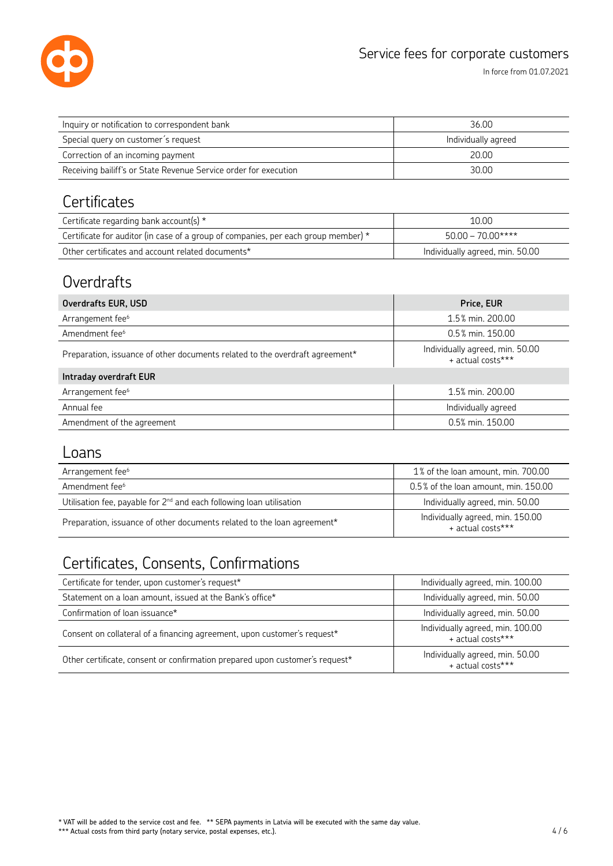

In force from 01.07.2021

| Inquiry or notification to correspondent bank                    | 36.00               |
|------------------------------------------------------------------|---------------------|
| Special query on customer's request                              | Individually agreed |
| Correction of an incoming payment                                | 20.00               |
| Receiving bailiff's or State Revenue Service order for execution | 30.00               |

# **Certificates**

| Certificate regarding bank account(s) $*$                                          | 10.00                           |
|------------------------------------------------------------------------------------|---------------------------------|
| Certificate for auditor (in case of a group of companies, per each group member) * | $50.00 - 70.00$ ****            |
| Other certificates and account related documents*                                  | Individually agreed, min. 50.00 |

# **Overdrafts**

| Price, EUR                                           |
|------------------------------------------------------|
| 1.5% min. 200.00                                     |
| 0.5% min. 150.00                                     |
| Individually agreed, min. 50.00<br>+ actual costs*** |
|                                                      |
| 1.5% min. 200.00                                     |
| Individually agreed                                  |
| 0.5% min. 150.00                                     |
|                                                      |

#### Loans

| Arrangement fee <sup>6</sup>                                                     | 1% of the loan amount, min. 700.00                    |
|----------------------------------------------------------------------------------|-------------------------------------------------------|
| Amendment fee <sup>6</sup>                                                       | 0.5% of the loan amount, min. 150.00                  |
| Utilisation fee, payable for 2 <sup>nd</sup> and each following loan utilisation | Individually agreed, min. 50.00                       |
| Preparation, issuance of other documents related to the loan agreement*          | Individually agreed, min. 150.00<br>+ actual costs*** |

# Certificates, Consents, Confirmations

| Certificate for tender, upon customer's request*                             | Individually agreed, min. 100.00                      |
|------------------------------------------------------------------------------|-------------------------------------------------------|
| Statement on a loan amount, issued at the Bank's office*                     | Individually agreed, min. 50.00                       |
| Confirmation of loan issuance*                                               | Individually agreed, min. 50.00                       |
| Consent on collateral of a financing agreement, upon customer's request*     | Individually agreed, min. 100.00<br>+ actual costs*** |
| Other certificate, consent or confirmation prepared upon customer's request* | Individually agreed, min. 50.00<br>+ actual costs***  |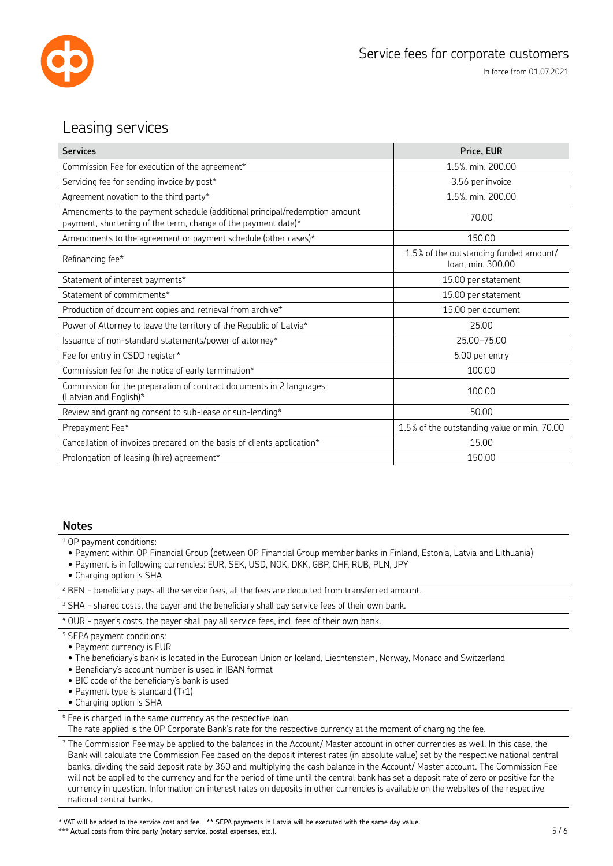

#### Leasing services

| <b>Services</b>                                                                                                                             | Price, EUR                                                  |  |  |
|---------------------------------------------------------------------------------------------------------------------------------------------|-------------------------------------------------------------|--|--|
| Commission Fee for execution of the agreement*                                                                                              | 1.5%, min. 200.00                                           |  |  |
| Servicing fee for sending invoice by post*                                                                                                  | 3.56 per invoice                                            |  |  |
| Agreement novation to the third party*                                                                                                      | 1.5%, min. 200.00                                           |  |  |
| Amendments to the payment schedule (additional principal/redemption amount<br>payment, shortening of the term, change of the payment date)* | 70.00                                                       |  |  |
| Amendments to the agreement or payment schedule (other cases)*                                                                              | 150.00                                                      |  |  |
| Refinancing fee*                                                                                                                            | 1.5% of the outstanding funded amount/<br>loan, min. 300.00 |  |  |
| Statement of interest payments*                                                                                                             | 15.00 per statement                                         |  |  |
| Statement of commitments*                                                                                                                   | 15.00 per statement                                         |  |  |
| Production of document copies and retrieval from archive*                                                                                   | 15.00 per document                                          |  |  |
| Power of Attorney to leave the territory of the Republic of Latvia*                                                                         | 25.00                                                       |  |  |
| Issuance of non-standard statements/power of attorney*                                                                                      | 25.00-75.00                                                 |  |  |
| Fee for entry in CSDD register*                                                                                                             | 5.00 per entry                                              |  |  |
| Commission fee for the notice of early termination*                                                                                         | 100.00                                                      |  |  |
| Commission for the preparation of contract documents in 2 languages<br>(Latvian and English)*                                               | 100.00                                                      |  |  |
| Review and granting consent to sub-lease or sub-lending*                                                                                    | 50.00                                                       |  |  |
| Prepayment Fee*                                                                                                                             | 1.5% of the outstanding value or min. 70.00                 |  |  |
| Cancellation of invoices prepared on the basis of clients application*                                                                      | 15.00                                                       |  |  |
| Prolongation of leasing (hire) agreement*                                                                                                   | 150.00                                                      |  |  |

#### **Notes**

1 OP payment conditions:

- Payment within OP Financial Group (between OP Financial Group member banks in Finland, Estonia, Latvia and Lithuania)
- Payment is in following currencies: EUR, SEK, USD, NOK, DKK, GBP, CHF, RUB, PLN, JPY
- Charging option is SHA

|  |  |  |  |  | $^2$ BEN - beneficiary pays all the service fees, all the fees are deducted from transferred amount. |  |  |
|--|--|--|--|--|------------------------------------------------------------------------------------------------------|--|--|
|--|--|--|--|--|------------------------------------------------------------------------------------------------------|--|--|

 $^3$  SHA - shared costs, the payer and the beneficiary shall pay service fees of their own bank.

4 OUR - payer's costs, the payer shall pay all service fees, incl. fees of their own bank.

5 SEPA payment conditions:

- Payment currency is EUR
- The beneficiary's bank is located in the European Union or Iceland, Liechtenstein, Norway, Monaco and Switzerland
- Beneficiary's account number is used in IBAN format
- BIC code of the beneficiary's bank is used
- Payment type is standard (T+1)
- Charging option is SHA

<sup>6</sup> Fee is charged in the same currency as the respective loan.

The rate applied is the OP Corporate Bank's rate for the respective currency at the moment of charging the fee.

 $7$  The Commission Fee may be applied to the balances in the Account/ Master account in other currencies as well. In this case, the Bank will calculate the Commission Fee based on the deposit interest rates (in absolute value) set by the respective national central banks, dividing the said deposit rate by 360 and multiplying the cash balance in the Account/ Master account. The Commission Fee will not be applied to the currency and for the period of time until the central bank has set a deposit rate of zero or positive for the currency in question. Information on interest rates on deposits in other currencies is available on the websites of the respective national central banks.

\* VAT will be added to the service cost and fee. \*\* SEPA payments in Latvia will be executed with the same day value.

\*\*\* Actual costs from third party (notary service, postal expenses, etc.).